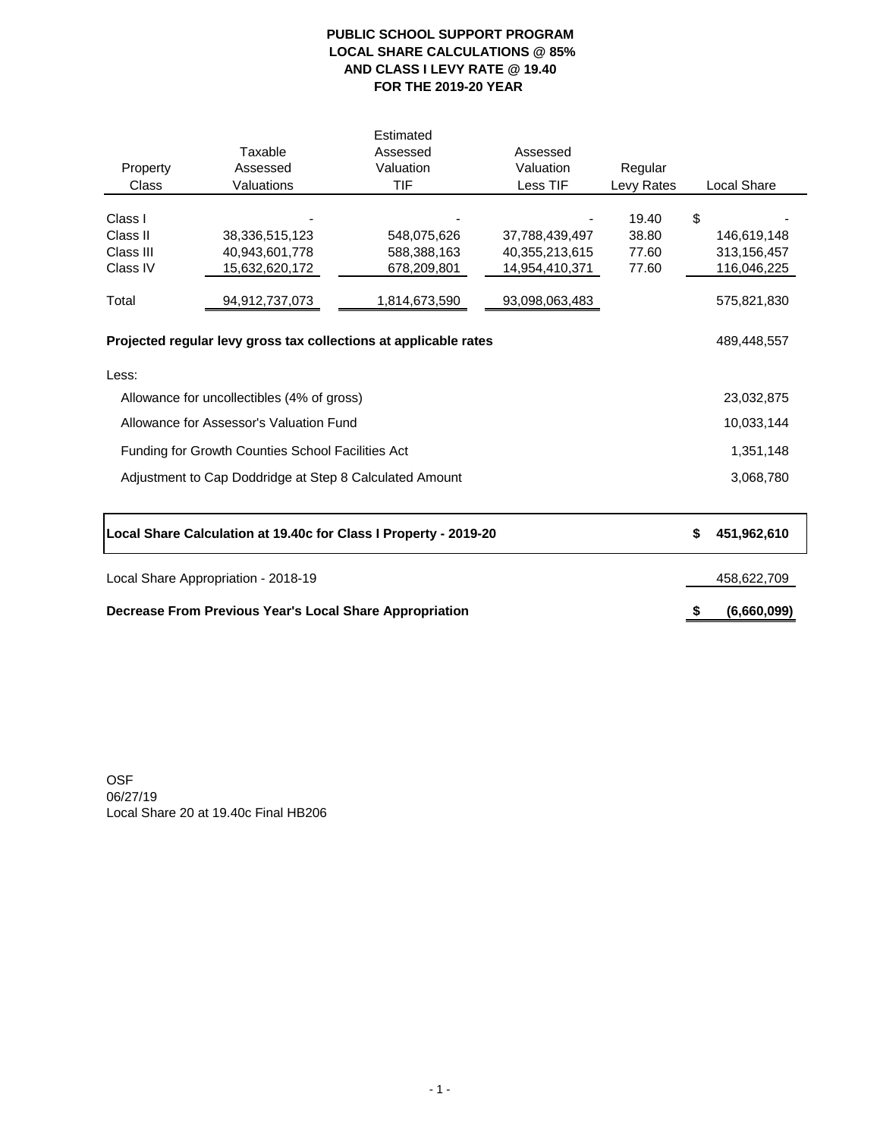# **PUBLIC SCHOOL SUPPORT PROGRAM LOCAL SHARE CALCULATIONS @ 85% AND CLASS I LEVY RATE @ 19.40 FOR THE 2019-20 YEAR**

| Property<br><b>Class</b>                                                                                                                                                                                       | Taxable<br>Assessed<br>Valuations                  | Estimated<br>Assessed<br>Valuation<br><b>TIF</b>   | Assessed<br>Valuation<br>Less TIF                  | Regular<br>Levy Rates            |               | <b>Local Share</b>                        |
|----------------------------------------------------------------------------------------------------------------------------------------------------------------------------------------------------------------|----------------------------------------------------|----------------------------------------------------|----------------------------------------------------|----------------------------------|---------------|-------------------------------------------|
| Class I<br>Class II<br>Class III<br>Class IV                                                                                                                                                                   | 38,336,515,123<br>40,943,601,778<br>15,632,620,172 | 548,075,626<br>588,388,163<br>678,209,801          | 37,788,439,497<br>40,355,213,615<br>14,954,410,371 | 19.40<br>38.80<br>77.60<br>77.60 | $\mathcal{L}$ | 146,619,148<br>313,156,457<br>116,046,225 |
| Total<br>Projected regular levy gross tax collections at applicable rates                                                                                                                                      |                                                    | 575,821,830<br>489,448,557                         |                                                    |                                  |               |                                           |
| Less:<br>Allowance for uncollectibles (4% of gross)<br>Allowance for Assessor's Valuation Fund<br>Funding for Growth Counties School Facilities Act<br>Adjustment to Cap Doddridge at Step 8 Calculated Amount |                                                    | 23,032,875<br>10,033,144<br>1,351,148<br>3,068,780 |                                                    |                                  |               |                                           |
| Local Share Calculation at 19.40c for Class I Property - 2019-20                                                                                                                                               | \$                                                 | 451,962,610                                        |                                                    |                                  |               |                                           |
| Local Share Appropriation - 2018-19                                                                                                                                                                            |                                                    | 458,622,709                                        |                                                    |                                  |               |                                           |
| <b>Decrease From Previous Year's Local Share Appropriation</b>                                                                                                                                                 | \$                                                 | (6,660,099)                                        |                                                    |                                  |               |                                           |

OSF 06/27/19 Local Share 20 at 19.40c Final HB206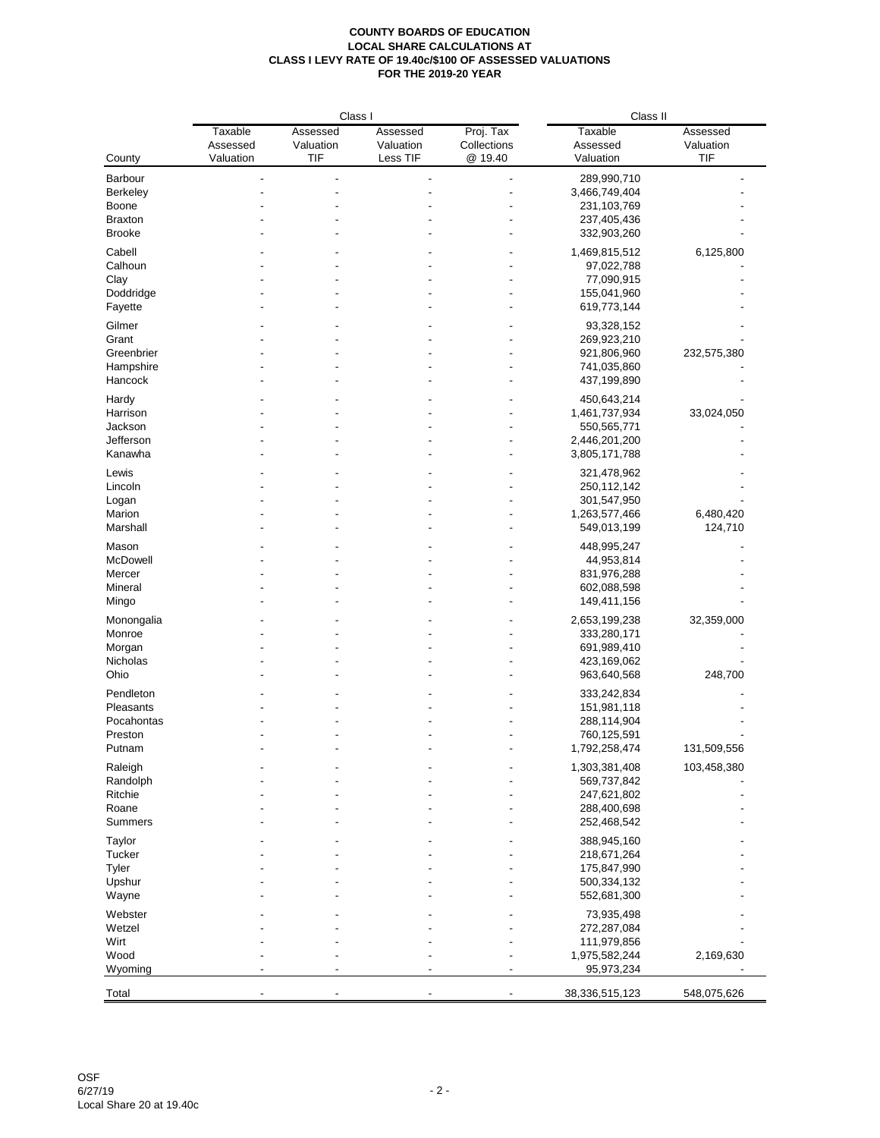|                     |                       | Class I                 |                       |                          | Class II                    |                         |
|---------------------|-----------------------|-------------------------|-----------------------|--------------------------|-----------------------------|-------------------------|
|                     | Taxable               | Assessed                | Assessed              | Proj. Tax                | <b>Taxable</b>              | Assessed                |
| County              | Assessed<br>Valuation | Valuation<br><b>TIF</b> | Valuation<br>Less TIF | Collections<br>@ 19.40   | Assessed<br>Valuation       | Valuation<br><b>TIF</b> |
|                     |                       |                         |                       |                          |                             |                         |
| Barbour<br>Berkeley |                       |                         |                       |                          | 289,990,710                 |                         |
| Boone               |                       |                         |                       |                          | 3,466,749,404               |                         |
| <b>Braxton</b>      |                       |                         |                       |                          | 231,103,769<br>237,405,436  |                         |
| <b>Brooke</b>       |                       |                         |                       |                          | 332,903,260                 |                         |
|                     |                       |                         |                       |                          |                             |                         |
| Cabell              |                       |                         |                       |                          | 1,469,815,512               | 6,125,800               |
| Calhoun             |                       |                         |                       |                          | 97,022,788                  |                         |
| Clay                |                       |                         |                       |                          | 77,090,915                  |                         |
| Doddridge           |                       |                         |                       |                          | 155,041,960                 |                         |
| Fayette             |                       |                         |                       |                          | 619,773,144                 |                         |
| Gilmer              |                       |                         |                       |                          | 93,328,152                  |                         |
| Grant               |                       |                         |                       |                          | 269,923,210                 |                         |
| Greenbrier          |                       |                         |                       |                          | 921,806,960                 | 232,575,380             |
| Hampshire           |                       |                         |                       |                          | 741,035,860                 |                         |
| Hancock             |                       |                         |                       |                          | 437,199,890                 |                         |
| Hardy               |                       |                         |                       |                          | 450,643,214                 |                         |
| Harrison            |                       |                         |                       |                          | 1,461,737,934               | 33,024,050              |
| Jackson             |                       |                         |                       |                          | 550,565,771                 |                         |
| Jefferson           |                       |                         |                       |                          | 2,446,201,200               |                         |
| Kanawha             |                       |                         |                       |                          | 3,805,171,788               |                         |
| Lewis               |                       |                         |                       |                          | 321,478,962                 |                         |
| Lincoln             |                       |                         |                       |                          | 250,112,142                 |                         |
| Logan               |                       |                         |                       |                          | 301,547,950                 |                         |
| Marion              |                       |                         |                       |                          | 1,263,577,466               | 6,480,420               |
| Marshall            |                       |                         |                       |                          | 549,013,199                 | 124,710                 |
| Mason               |                       |                         |                       |                          | 448,995,247                 |                         |
| McDowell            |                       |                         |                       |                          | 44,953,814                  |                         |
| Mercer              |                       |                         |                       |                          | 831,976,288                 |                         |
| Mineral             |                       |                         |                       |                          | 602,088,598                 |                         |
| Mingo               |                       |                         |                       |                          | 149,411,156                 |                         |
|                     |                       |                         |                       |                          |                             |                         |
| Monongalia          |                       |                         |                       |                          | 2,653,199,238               | 32,359,000              |
| Monroe              |                       |                         |                       |                          | 333,280,171                 |                         |
| Morgan              |                       |                         |                       |                          | 691,989,410<br>423,169,062  |                         |
| Nicholas<br>Ohio    |                       |                         |                       |                          | 963,640,568                 | 248,700                 |
|                     |                       |                         |                       |                          |                             |                         |
| Pendleton           |                       |                         |                       |                          | 333,242,834                 |                         |
| Pleasants           |                       |                         |                       |                          | 151,981,118                 |                         |
| Pocahontas          |                       |                         |                       |                          | 288,114,904                 |                         |
| Preston             |                       |                         |                       |                          | 760,125,591                 |                         |
| Putnam              |                       |                         |                       |                          | 1,792,258,474               | 131,509,556             |
| Raleigh             |                       |                         |                       |                          | 1,303,381,408               | 103,458,380             |
| Randolph            |                       |                         |                       |                          | 569,737,842                 |                         |
| Ritchie             |                       |                         |                       |                          | 247,621,802                 |                         |
| Roane               |                       |                         |                       |                          | 288,400,698                 |                         |
| <b>Summers</b>      |                       |                         |                       |                          | 252,468,542                 |                         |
| Taylor              |                       |                         |                       |                          | 388,945,160                 |                         |
| Tucker              |                       |                         |                       |                          | 218,671,264                 |                         |
| Tyler               |                       |                         |                       |                          | 175,847,990                 |                         |
| Upshur              |                       |                         |                       |                          | 500,334,132                 |                         |
| Wayne               |                       |                         |                       |                          | 552,681,300                 |                         |
|                     |                       |                         |                       |                          |                             |                         |
| Webster             |                       |                         |                       |                          | 73,935,498                  |                         |
| Wetzel              |                       |                         |                       |                          | 272,287,084                 |                         |
| Wirt<br>Wood        |                       |                         |                       |                          | 111,979,856                 |                         |
| Wyoming             |                       |                         |                       |                          | 1,975,582,244<br>95,973,234 | 2,169,630               |
|                     |                       |                         |                       |                          |                             |                         |
| Total               |                       |                         |                       | $\overline{\phantom{a}}$ | 38,336,515,123              | 548,075,626             |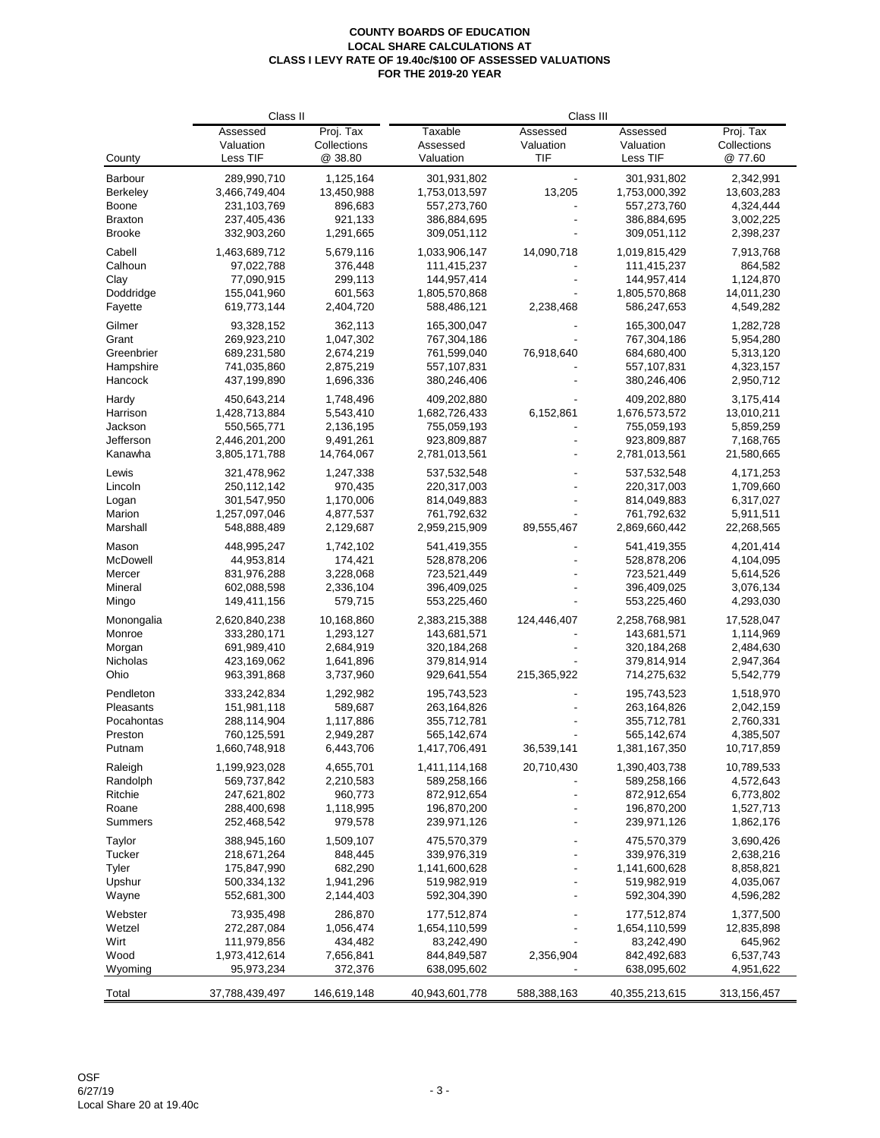|                      | Class II                   |             | Class III                    |             |                              |                         |
|----------------------|----------------------------|-------------|------------------------------|-------------|------------------------------|-------------------------|
|                      | Assessed                   | Proj. Tax   | Taxable                      | Assessed    | Assessed                     | Proj. Tax               |
|                      | Valuation                  | Collections | Assessed                     | Valuation   | Valuation                    | Collections             |
| County               | Less TIF                   | @ 38.80     | Valuation                    | <b>TIF</b>  | Less TIF                     | @ 77.60                 |
| Barbour              | 289,990,710                | 1,125,164   | 301,931,802                  |             | 301,931,802                  | 2,342,991               |
| <b>Berkeley</b>      | 3,466,749,404              | 13,450,988  | 1,753,013,597                | 13,205      | 1,753,000,392                | 13,603,283              |
| Boone                | 231,103,769                | 896,683     | 557,273,760                  |             | 557,273,760                  | 4,324,444               |
| <b>Braxton</b>       | 237,405,436                | 921,133     | 386,884,695                  |             | 386,884,695                  | 3,002,225               |
| <b>Brooke</b>        | 332,903,260                | 1,291,665   | 309,051,112                  |             | 309,051,112                  | 2,398,237               |
| Cabell               | 1,463,689,712              | 5,679,116   | 1,033,906,147                | 14,090,718  | 1,019,815,429                | 7,913,768               |
| Calhoun              | 97,022,788                 | 376,448     | 111,415,237                  |             | 111,415,237                  | 864,582                 |
| Clay                 | 77,090,915                 | 299,113     | 144,957,414                  |             | 144,957,414                  | 1,124,870               |
|                      |                            | 601,563     |                              |             | 1,805,570,868                |                         |
| Doddridge<br>Fayette | 155,041,960<br>619,773,144 | 2,404,720   | 1,805,570,868<br>588,486,121 | 2,238,468   | 586,247,653                  | 14,011,230<br>4,549,282 |
| Gilmer               | 93,328,152                 | 362,113     | 165,300,047                  |             | 165,300,047                  | 1,282,728               |
|                      | 269,923,210                |             |                              |             |                              |                         |
| Grant                |                            | 1,047,302   | 767,304,186                  |             | 767,304,186                  | 5,954,280               |
| Greenbrier           | 689,231,580                | 2,674,219   | 761,599,040                  | 76,918,640  | 684,680,400                  | 5,313,120               |
| Hampshire            | 741,035,860                | 2,875,219   | 557,107,831                  |             | 557,107,831                  | 4,323,157               |
| Hancock              | 437,199,890                | 1,696,336   | 380,246,406                  |             | 380,246,406                  | 2,950,712               |
| Hardy                | 450,643,214                | 1,748,496   | 409,202,880                  |             | 409,202,880                  | 3,175,414               |
| Harrison             | 1,428,713,884              | 5,543,410   | 1,682,726,433                | 6,152,861   | 1,676,573,572                | 13,010,211              |
| Jackson              | 550,565,771                | 2,136,195   | 755,059,193                  |             | 755,059,193                  | 5,859,259               |
| Jefferson            | 2,446,201,200              | 9,491,261   | 923,809,887                  |             | 923,809,887                  | 7,168,765               |
| Kanawha              | 3,805,171,788              | 14,764,067  | 2,781,013,561                |             | 2,781,013,561                | 21,580,665              |
| Lewis                | 321,478,962                | 1,247,338   | 537,532,548                  |             | 537,532,548                  | 4,171,253               |
| Lincoln              | 250, 112, 142              | 970,435     | 220,317,003                  |             | 220,317,003                  | 1,709,660               |
| Logan                | 301,547,950                | 1,170,006   | 814,049,883                  |             | 814,049,883                  | 6,317,027               |
| Marion               | 1,257,097,046              | 4,877,537   | 761,792,632                  |             | 761,792,632                  | 5,911,511               |
| Marshall             | 548,888,489                | 2,129,687   | 2,959,215,909                | 89,555,467  | 2,869,660,442                | 22,268,565              |
| Mason                | 448,995,247                | 1,742,102   | 541,419,355                  |             | 541,419,355                  | 4,201,414               |
| McDowell             | 44,953,814                 | 174,421     | 528,878,206                  |             | 528,878,206                  | 4,104,095               |
| Mercer               | 831,976,288                | 3,228,068   | 723,521,449                  |             | 723,521,449                  | 5,614,526               |
| Mineral              | 602,088,598                | 2,336,104   | 396,409,025                  |             | 396,409,025                  | 3,076,134               |
| Mingo                | 149,411,156                | 579,715     | 553,225,460                  |             | 553,225,460                  | 4,293,030               |
| Monongalia           | 2,620,840,238              | 10,168,860  | 2,383,215,388                | 124,446,407 | 2,258,768,981                | 17,528,047              |
| Monroe               | 333,280,171                | 1,293,127   | 143,681,571                  |             | 143,681,571                  | 1,114,969               |
|                      |                            |             |                              |             |                              |                         |
| Morgan               | 691,989,410                | 2,684,919   | 320, 184, 268                |             | 320, 184, 268                | 2,484,630               |
| Nicholas             | 423,169,062                | 1,641,896   | 379,814,914                  |             | 379,814,914                  | 2,947,364               |
| Ohio                 | 963,391,868                | 3,737,960   | 929,641,554                  | 215,365,922 | 714,275,632                  | 5,542,779               |
| Pendleton            | 333,242,834                | 1,292,982   | 195,743,523                  |             | 195,743,523                  | 1,518,970               |
| Pleasants            | 151,981,118                | 589,687     | 263,164,826                  |             | 263,164,826                  | 2,042,159               |
| Pocahontas           | 288,114,904                | 1,117,886   | 355,712,781                  |             | 355,712,781                  | 2,760,331               |
| Preston              | 760,125,591                | 2,949,287   | 565,142,674                  |             | 565,142,674                  | 4,385,507               |
| Putnam               | 1,660,748,918              | 6,443,706   | 1,417,706,491                | 36,539,141  | 1,381,167,350                | 10,717,859              |
| Raleigh              | 1,199,923,028              | 4,655,701   | 1,411,114,168                | 20,710,430  | 1,390,403,738                | 10,789,533              |
| Randolph             | 569,737,842                | 2,210,583   | 589,258,166                  |             | 589,258,166                  | 4,572,643               |
| Ritchie              | 247,621,802                | 960,773     | 872,912,654                  |             | 872,912,654                  | 6,773,802               |
| Roane                | 288,400,698                | 1,118,995   | 196,870,200                  |             | 196,870,200                  | 1,527,713               |
| <b>Summers</b>       | 252,468,542                | 979,578     | 239,971,126                  |             | 239,971,126                  | 1,862,176               |
|                      | 388,945,160                | 1,509,107   | 475,570,379                  |             | 475,570,379                  | 3,690,426               |
| Taylor<br>Tucker     | 218,671,264                | 848,445     | 339,976,319                  |             | 339,976,319                  | 2,638,216               |
| <b>Tyler</b>         | 175,847,990                | 682,290     | 1,141,600,628                |             | 1,141,600,628                | 8,858,821               |
| Upshur               | 500,334,132                | 1,941,296   | 519,982,919                  |             | 519,982,919                  | 4,035,067               |
| Wayne                | 552,681,300                | 2,144,403   | 592,304,390                  |             | 592,304,390                  | 4,596,282               |
| Webster              |                            | 286,870     |                              |             |                              |                         |
| Wetzel               | 73,935,498<br>272,287,084  | 1,056,474   | 177,512,874<br>1,654,110,599 |             | 177,512,874<br>1,654,110,599 | 1,377,500<br>12,835,898 |
| Wirt                 | 111,979,856                | 434,482     | 83,242,490                   |             | 83,242,490                   | 645,962                 |
| Wood                 | 1,973,412,614              | 7,656,841   | 844,849,587                  | 2,356,904   | 842,492,683                  | 6,537,743               |
| Wyoming              | 95,973,234                 | 372,376     | 638,095,602                  |             | 638,095,602                  | 4,951,622               |
|                      |                            |             |                              |             |                              |                         |
| Total                | 37,788,439,497             | 146,619,148 | 40,943,601,778               | 588,388,163 | 40,355,213,615               | 313,156,457             |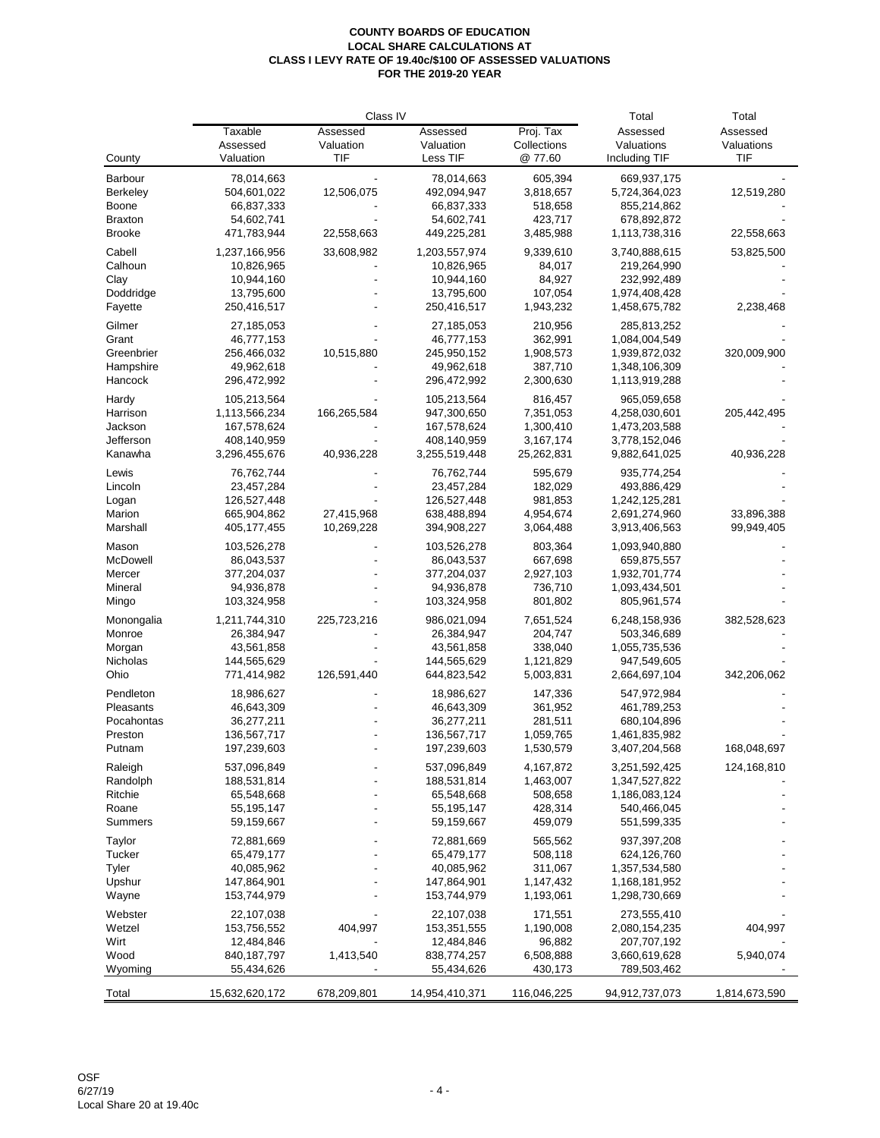|                     |                            | Class IV    | Total                    | Total              |                              |               |
|---------------------|----------------------------|-------------|--------------------------|--------------------|------------------------------|---------------|
|                     | Taxable                    | Assessed    | Assessed                 | Proj. Tax          | Assessed                     | Assessed      |
|                     | Assessed                   | Valuation   | Valuation                | Collections        | Valuations                   | Valuations    |
| County              | Valuation                  | TIF         | Less TIF                 | @ 77.60            | Including TIF                | <b>TIF</b>    |
| Barbour             | 78,014,663                 |             | 78,014,663               | 605,394            | 669,937,175                  |               |
| <b>Berkeley</b>     | 504,601,022                | 12,506,075  | 492,094,947              | 3,818,657          | 5,724,364,023                | 12,519,280    |
| <b>Boone</b>        | 66,837,333                 |             | 66,837,333               | 518,658            | 855,214,862                  |               |
| <b>Braxton</b>      | 54,602,741                 |             | 54,602,741               | 423,717            | 678,892,872                  |               |
| <b>Brooke</b>       | 471,783,944                | 22,558,663  | 449,225,281              | 3,485,988          | 1,113,738,316                | 22,558,663    |
| Cabell              | 1,237,166,956              | 33,608,982  | 1,203,557,974            | 9,339,610          | 3,740,888,615                | 53,825,500    |
| Calhoun             | 10,826,965                 |             | 10,826,965               | 84,017             | 219,264,990                  |               |
| Clay                | 10,944,160                 |             | 10,944,160               | 84,927             | 232,992,489                  |               |
| Doddridge           | 13,795,600                 |             | 13,795,600               | 107,054            | 1,974,408,428                |               |
| Fayette             | 250,416,517                |             | 250,416,517              | 1,943,232          | 1,458,675,782                | 2,238,468     |
|                     |                            |             |                          |                    |                              |               |
| Gilmer              | 27,185,053                 |             | 27,185,053               | 210,956            | 285,813,252                  |               |
| Grant               | 46,777,153                 |             | 46,777,153               | 362,991            | 1,084,004,549                |               |
| Greenbrier          | 256,466,032                | 10,515,880  | 245,950,152              | 1,908,573          | 1,939,872,032                | 320,009,900   |
| Hampshire           | 49,962,618                 |             | 49,962,618               | 387,710            | 1,348,106,309                |               |
| Hancock             | 296,472,992                |             | 296,472,992              | 2,300,630          | 1,113,919,288                |               |
| Hardy               | 105,213,564                |             | 105,213,564              | 816,457            | 965,059,658                  |               |
| Harrison            | 1,113,566,234              | 166,265,584 | 947,300,650              | 7,351,053          | 4,258,030,601                | 205,442,495   |
| Jackson             | 167,578,624                |             | 167,578,624              | 1,300,410          | 1,473,203,588                |               |
| Jefferson           | 408,140,959                |             | 408,140,959              | 3,167,174          | 3,778,152,046                |               |
| Kanawha             | 3,296,455,676              | 40,936,228  | 3,255,519,448            | 25,262,831         | 9,882,641,025                | 40,936,228    |
| Lewis               | 76,762,744                 |             | 76,762,744               | 595,679            | 935,774,254                  |               |
| Lincoln             | 23,457,284                 |             | 23,457,284               | 182,029            | 493,886,429                  |               |
| Logan               | 126,527,448                |             | 126,527,448              | 981,853            | 1,242,125,281                |               |
| Marion              | 665,904,862                | 27,415,968  | 638,488,894              | 4,954,674          | 2,691,274,960                | 33,896,388    |
| Marshall            | 405, 177, 455              | 10,269,228  | 394,908,227              | 3,064,488          | 3,913,406,563                | 99,949,405    |
|                     |                            |             |                          |                    |                              |               |
| Mason               | 103,526,278                |             | 103,526,278              | 803,364            | 1,093,940,880                |               |
| McDowell            | 86,043,537                 |             | 86,043,537               | 667,698            | 659,875,557                  |               |
| Mercer              | 377,204,037                |             | 377,204,037              | 2,927,103          | 1,932,701,774                |               |
| Mineral             | 94,936,878                 |             | 94,936,878               | 736,710            | 1,093,434,501                |               |
| Mingo               | 103,324,958                |             | 103,324,958              | 801,802            | 805,961,574                  |               |
| Monongalia          | 1,211,744,310              | 225,723,216 | 986,021,094              | 7,651,524          | 6,248,158,936                | 382,528,623   |
| Monroe              | 26,384,947                 |             | 26,384,947               | 204,747            | 503,346,689                  |               |
| Morgan              | 43,561,858                 |             | 43,561,858               | 338,040            | 1,055,735,536                |               |
| Nicholas            | 144,565,629                |             | 144,565,629              | 1,121,829          | 947,549,605                  |               |
| Ohio                | 771,414,982                | 126,591,440 | 644,823,542              | 5,003,831          | 2,664,697,104                | 342,206,062   |
| Pendleton           | 18,986,627                 |             | 18,986,627               | 147,336            | 547,972,984                  |               |
| Pleasants           | 46,643,309                 |             | 46,643,309               | 361,952            | 461,789,253                  |               |
| Pocahontas          | 36,277,211                 |             | 36,277,211               | 281,511            | 680,104,896                  |               |
| Preston             | 136,567,717                |             | 136,567,717              | 1,059,765          | 1,461,835,982                |               |
| Putnam              | 197,239,603                |             | 197,239,603              | 1,530,579          | 3,407,204,568                | 168,048,697   |
|                     |                            |             |                          |                    |                              |               |
| Raleigh             | 537,096,849                |             | 537,096,849              | 4,167,872          | 3,251,592,425                | 124,168,810   |
| Randolph<br>Ritchie | 188,531,814                |             | 188,531,814              | 1,463,007          | 1,347,527,822                |               |
| Roane               | 65,548,668<br>55, 195, 147 |             | 65,548,668<br>55,195,147 | 508,658<br>428,314 | 1,186,083,124<br>540,466,045 |               |
| <b>Summers</b>      | 59,159,667                 |             | 59,159,667               | 459,079            | 551,599,335                  |               |
|                     |                            |             |                          |                    |                              |               |
| Taylor              | 72,881,669                 |             | 72,881,669               | 565,562            | 937, 397, 208                |               |
| <b>Tucker</b>       | 65,479,177                 |             | 65,479,177               | 508,118            | 624,126,760                  |               |
| Tyler               | 40,085,962                 |             | 40,085,962               | 311,067            | 1,357,534,580                |               |
| Upshur              | 147,864,901                |             | 147,864,901              | 1,147,432          | 1,168,181,952                |               |
| Wayne               | 153,744,979                |             | 153,744,979              | 1,193,061          | 1,298,730,669                |               |
| Webster             | 22,107,038                 |             | 22,107,038               | 171,551            | 273,555,410                  |               |
| Wetzel              | 153,756,552                | 404,997     | 153,351,555              | 1,190,008          | 2,080,154,235                | 404,997       |
| Wirt                | 12,484,846                 |             | 12,484,846               | 96,882             | 207,707,192                  |               |
| Wood                | 840, 187, 797              | 1,413,540   | 838,774,257              | 6,508,888          | 3,660,619,628                | 5,940,074     |
| Wyoming             | 55,434,626                 |             | 55,434,626               | 430,173            | 789,503,462                  |               |
|                     |                            |             |                          |                    |                              |               |
| Total               | 15,632,620,172             | 678,209,801 | 14,954,410,371           | 116,046,225        | 94,912,737,073               | 1,814,673,590 |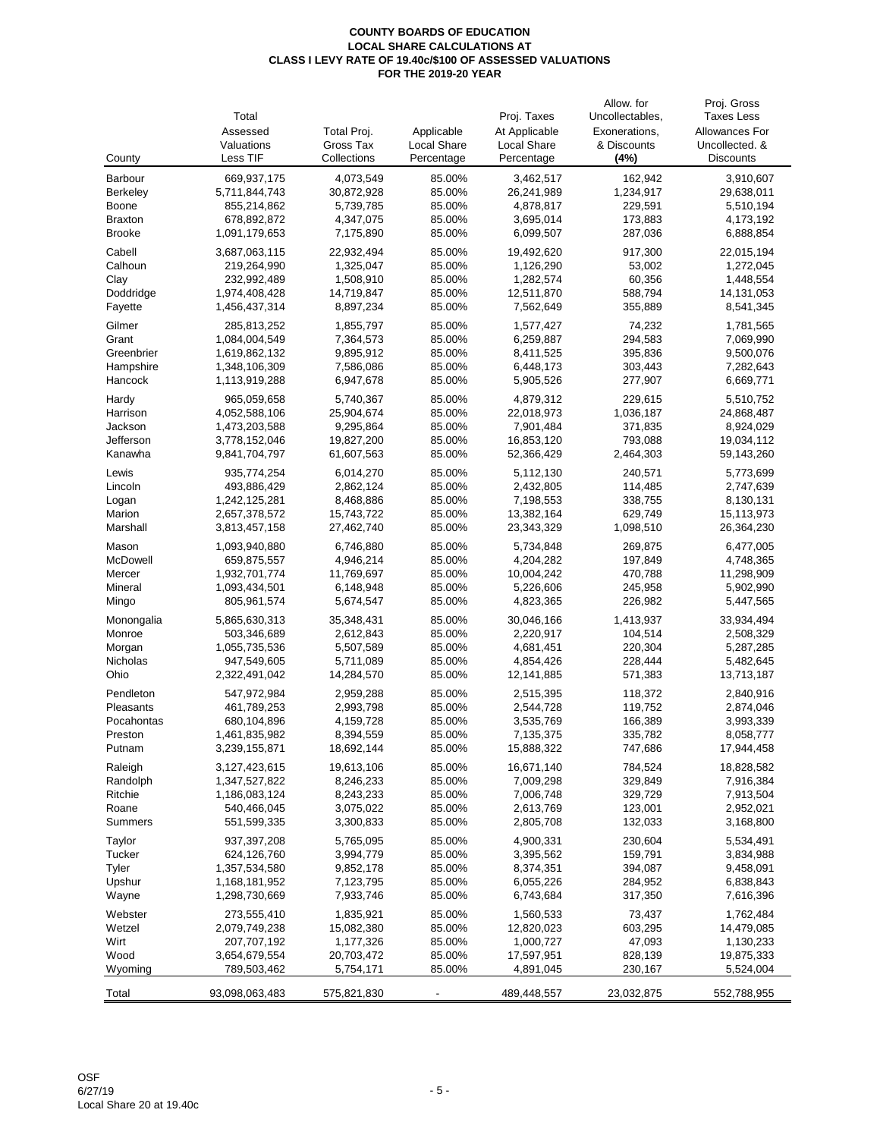|                  | Total                        |                         |                  | Proj. Taxes             | Allow. for<br>Uncollectables, | Proj. Gross<br><b>Taxes Less</b> |
|------------------|------------------------------|-------------------------|------------------|-------------------------|-------------------------------|----------------------------------|
|                  | Assessed                     | Total Proj.             | Applicable       | At Applicable           | Exonerations,                 | Allowances For                   |
|                  | Valuations                   | Gross Tax               | Local Share      | Local Share             | & Discounts                   | Uncollected. &                   |
| County           | Less TIF                     | Collections             | Percentage       | Percentage              | (4%)                          | <b>Discounts</b>                 |
| Barbour          | 669,937,175                  | 4,073,549               | 85.00%           | 3,462,517               | 162,942                       | 3,910,607                        |
| <b>Berkeley</b>  | 5,711,844,743                | 30,872,928              | 85.00%           | 26,241,989              | 1,234,917                     | 29,638,011                       |
| <b>Boone</b>     | 855,214,862                  | 5,739,785               | 85.00%           | 4,878,817               | 229,591                       | 5,510,194                        |
| <b>Braxton</b>   | 678,892,872                  | 4,347,075               | 85.00%           | 3,695,014               | 173,883                       | 4,173,192                        |
| <b>Brooke</b>    | 1,091,179,653                | 7,175,890               | 85.00%           | 6,099,507               | 287,036                       | 6,888,854                        |
|                  |                              |                         |                  |                         |                               |                                  |
| Cabell           | 3,687,063,115                | 22,932,494              | 85.00%           | 19,492,620              | 917,300                       | 22,015,194                       |
| Calhoun          | 219,264,990                  | 1,325,047               | 85.00%           | 1,126,290               | 53,002                        | 1,272,045                        |
| Clay             | 232,992,489                  | 1,508,910               | 85.00%           | 1,282,574               | 60,356                        | 1,448,554                        |
| Doddridge        | 1,974,408,428                | 14,719,847              | 85.00%           | 12,511,870              | 588,794                       | 14, 131, 053                     |
| Fayette          | 1,456,437,314                | 8,897,234               | 85.00%           | 7,562,649               | 355,889                       | 8,541,345                        |
| Gilmer           | 285,813,252                  | 1,855,797               | 85.00%           | 1,577,427               | 74,232                        | 1,781,565                        |
| Grant            | 1,084,004,549                | 7,364,573               | 85.00%           | 6,259,887               | 294,583                       | 7,069,990                        |
| Greenbrier       | 1,619,862,132                | 9,895,912               | 85.00%           | 8,411,525               | 395,836                       | 9,500,076                        |
| Hampshire        | 1,348,106,309                | 7,586,086               | 85.00%           | 6,448,173               | 303,443                       | 7,282,643                        |
| Hancock          | 1,113,919,288                | 6,947,678               | 85.00%           | 5,905,526               | 277,907                       | 6,669,771                        |
| Hardy            | 965,059,658                  | 5,740,367               | 85.00%           | 4,879,312               | 229,615                       | 5,510,752                        |
| Harrison         | 4,052,588,106                | 25,904,674              | 85.00%           | 22,018,973              | 1,036,187                     | 24,868,487                       |
| Jackson          | 1,473,203,588                | 9,295,864               | 85.00%           | 7,901,484               | 371,835                       | 8,924,029                        |
| Jefferson        | 3,778,152,046                | 19,827,200              | 85.00%           | 16,853,120              | 793,088                       | 19,034,112                       |
| Kanawha          | 9,841,704,797                | 61,607,563              | 85.00%           | 52,366,429              | 2,464,303                     | 59,143,260                       |
| Lewis            | 935,774,254                  | 6,014,270               | 85.00%           | 5,112,130               | 240,571                       | 5,773,699                        |
| Lincoln          | 493,886,429                  | 2,862,124               | 85.00%           | 2,432,805               | 114,485                       | 2,747,639                        |
| Logan            | 1,242,125,281                | 8,468,886               | 85.00%           | 7,198,553               | 338,755                       | 8,130,131                        |
| Marion           | 2,657,378,572                | 15,743,722              | 85.00%           | 13,382,164              | 629,749                       | 15,113,973                       |
| Marshall         | 3,813,457,158                | 27,462,740              | 85.00%           | 23,343,329              | 1,098,510                     | 26,364,230                       |
| Mason            | 1,093,940,880                | 6,746,880               | 85.00%           | 5,734,848               | 269,875                       | 6,477,005                        |
| McDowell         | 659,875,557                  | 4,946,214               | 85.00%           | 4,204,282               | 197,849                       | 4,748,365                        |
| Mercer           | 1,932,701,774                | 11,769,697              | 85.00%           | 10,004,242              | 470,788                       | 11,298,909                       |
| Mineral          | 1,093,434,501                | 6,148,948               | 85.00%           | 5,226,606               | 245,958                       | 5,902,990                        |
| Mingo            | 805,961,574                  | 5,674,547               | 85.00%           | 4,823,365               | 226,982                       | 5,447,565                        |
|                  |                              |                         |                  |                         |                               |                                  |
| Monongalia       | 5,865,630,313<br>503,346,689 | 35,348,431<br>2,612,843 | 85.00%<br>85.00% | 30,046,166<br>2,220,917 | 1,413,937<br>104,514          | 33,934,494                       |
| Monroe<br>Morgan | 1,055,735,536                | 5,507,589               | 85.00%           | 4,681,451               | 220,304                       | 2,508,329<br>5,287,285           |
| Nicholas         | 947,549,605                  | 5,711,089               | 85.00%           | 4,854,426               | 228,444                       | 5,482,645                        |
| Ohio             | 2,322,491,042                | 14,284,570              | 85.00%           | 12,141,885              | 571,383                       | 13,713,187                       |
|                  |                              |                         |                  |                         |                               |                                  |
| Pendleton        | 547,972,984                  | 2,959,288               | 85.00%           | 2,515,395               | 118,372                       | 2,840,916                        |
| Pleasants        | 461,789,253                  | 2,993,798               | 85.00%           | 2,544,728               | 119,752                       | 2,874,046                        |
| Pocahontas       | 680,104,896                  | 4,159,728               | 85.00%           | 3,535,769               | 166,389                       | 3,993,339                        |
| Preston          | 1,461,835,982                | 8,394,559               | 85.00%           | 7,135,375               | 335,782                       | 8,058,777                        |
| Putnam           | 3,239,155,871                | 18,692,144              | 85.00%           | 15,888,322              | 747,686                       | 17,944,458                       |
| Raleigh          | 3,127,423,615                | 19,613,106              | 85.00%           | 16,671,140              | 784,524                       | 18,828,582                       |
| Randolph         | 1,347,527,822                | 8,246,233               | 85.00%           | 7,009,298               | 329,849                       | 7,916,384                        |
| Ritchie          | 1,186,083,124                | 8,243,233               | 85.00%           | 7,006,748               | 329,729                       | 7,913,504                        |
| Roane            | 540,466,045                  | 3,075,022               | 85.00%           | 2,613,769               | 123,001                       | 2,952,021                        |
| <b>Summers</b>   | 551,599,335                  | 3,300,833               | 85.00%           | 2,805,708               | 132,033                       | 3,168,800                        |
| Taylor           | 937, 397, 208                | 5,765,095               | 85.00%           | 4,900,331               | 230,604                       | 5,534,491                        |
| <b>Tucker</b>    | 624,126,760                  | 3,994,779               | 85.00%           | 3,395,562               | 159,791                       | 3,834,988                        |
| Tyler            | 1,357,534,580                | 9,852,178               | 85.00%           | 8,374,351               | 394,087                       | 9,458,091                        |
| Upshur           | 1,168,181,952                | 7,123,795               | 85.00%           | 6,055,226               | 284,952                       | 6,838,843                        |
| Wayne            | 1,298,730,669                | 7,933,746               | 85.00%           | 6,743,684               | 317,350                       | 7,616,396                        |
| Webster          | 273,555,410                  | 1,835,921               | 85.00%           | 1,560,533               | 73,437                        | 1,762,484                        |
| Wetzel           | 2,079,749,238                | 15,082,380              | 85.00%           | 12,820,023              | 603,295                       | 14,479,085                       |
| Wirt             | 207,707,192                  | 1,177,326               | 85.00%           | 1,000,727               | 47,093                        | 1,130,233                        |
| Wood             | 3,654,679,554                | 20,703,472              | 85.00%           | 17,597,951              | 828,139                       | 19,875,333                       |
| Wyoming          | 789,503,462                  | 5,754,171               | 85.00%           | 4,891,045               | 230,167                       | 5,524,004                        |
|                  |                              |                         |                  |                         |                               |                                  |
| Total            | 93,098,063,483               | 575,821,830             |                  | 489,448,557             | 23,032,875                    | 552,788,955                      |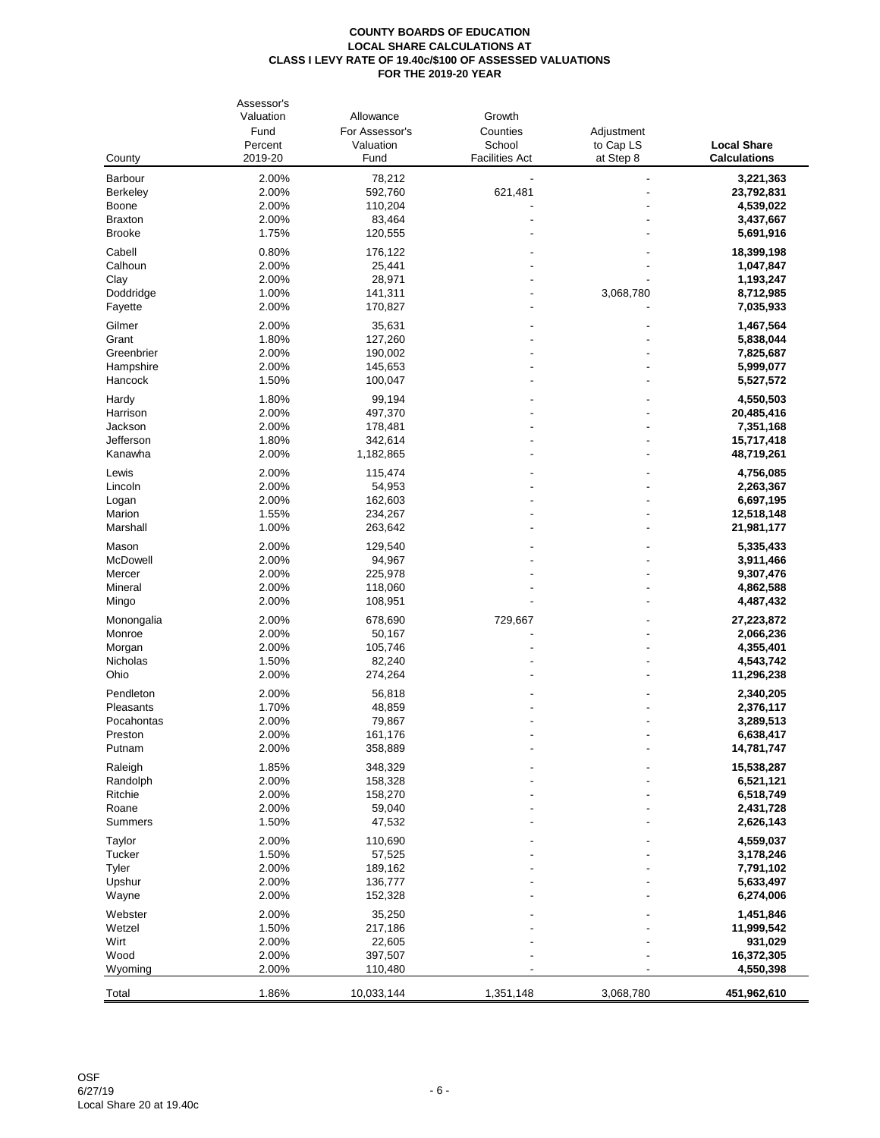|                | Assessor's |                |                       |            |                     |
|----------------|------------|----------------|-----------------------|------------|---------------------|
|                | Valuation  | Allowance      | Growth                |            |                     |
|                | Fund       | For Assessor's | Counties              | Adjustment |                     |
|                | Percent    | Valuation      | School                | to Cap LS  | <b>Local Share</b>  |
| County         | 2019-20    | Fund           | <b>Facilities Act</b> | at Step 8  | <b>Calculations</b> |
| Barbour        | 2.00%      | 78,212         |                       |            | 3,221,363           |
| Berkeley       | 2.00%      | 592,760        | 621,481               |            | 23,792,831          |
| Boone          | 2.00%      | 110,204        |                       |            | 4,539,022           |
| <b>Braxton</b> | 2.00%      | 83,464         |                       |            | 3,437,667           |
|                |            |                |                       |            |                     |
| <b>Brooke</b>  | 1.75%      | 120,555        |                       |            | 5,691,916           |
| Cabell         | 0.80%      | 176,122        |                       |            | 18,399,198          |
| Calhoun        | 2.00%      | 25,441         |                       |            | 1,047,847           |
| Clay           | 2.00%      | 28,971         |                       |            | 1,193,247           |
| Doddridge      | 1.00%      | 141,311        |                       | 3,068,780  | 8,712,985           |
| Fayette        | 2.00%      | 170,827        |                       |            | 7,035,933           |
| Gilmer         | 2.00%      | 35,631         |                       |            | 1,467,564           |
| Grant          | 1.80%      | 127,260        |                       |            | 5,838,044           |
| Greenbrier     | 2.00%      | 190,002        |                       |            | 7,825,687           |
| Hampshire      | 2.00%      | 145,653        |                       |            | 5,999,077           |
|                |            |                |                       |            |                     |
| Hancock        | 1.50%      | 100,047        |                       |            | 5,527,572           |
| Hardy          | 1.80%      | 99,194         |                       |            | 4,550,503           |
| Harrison       | 2.00%      | 497,370        |                       |            | 20,485,416          |
| Jackson        | 2.00%      | 178,481        |                       |            | 7,351,168           |
| Jefferson      | 1.80%      | 342,614        |                       |            | 15,717,418          |
| Kanawha        | 2.00%      | 1,182,865      |                       |            | 48,719,261          |
|                |            |                |                       |            |                     |
| Lewis          | 2.00%      | 115,474        |                       |            | 4,756,085           |
| Lincoln        | 2.00%      | 54,953         |                       |            | 2,263,367           |
| Logan          | 2.00%      | 162,603        |                       |            | 6,697,195           |
| Marion         | 1.55%      | 234,267        |                       |            | 12,518,148          |
| Marshall       | 1.00%      | 263,642        |                       |            | 21,981,177          |
| Mason          | 2.00%      | 129,540        |                       |            | 5,335,433           |
| McDowell       | 2.00%      | 94,967         |                       |            | 3,911,466           |
| Mercer         | 2.00%      | 225,978        |                       |            | 9,307,476           |
| Mineral        | 2.00%      | 118,060        |                       |            | 4,862,588           |
| Mingo          | 2.00%      | 108,951        |                       |            | 4,487,432           |
|                |            |                |                       |            |                     |
| Monongalia     | 2.00%      | 678,690        | 729,667               |            | 27,223,872          |
| Monroe         | 2.00%      | 50,167         |                       |            | 2,066,236           |
| Morgan         | 2.00%      | 105,746        |                       |            | 4,355,401           |
| Nicholas       | 1.50%      | 82,240         |                       |            | 4,543,742           |
| Ohio           | 2.00%      | 274,264        |                       |            | 11,296,238          |
| Pendleton      | 2.00%      | 56,818         |                       |            | 2,340,205           |
| Pleasants      | 1.70%      | 48,859         |                       |            | 2,376,117           |
| Pocahontas     | 2.00%      | 79,867         |                       |            | 3,289,513           |
| Preston        | 2.00%      | 161,176        |                       |            | 6,638,417           |
| Putnam         | 2.00%      | 358,889        |                       |            | 14,781,747          |
|                |            |                |                       |            |                     |
| Raleigh        | 1.85%      | 348,329        |                       |            | 15,538,287          |
| Randolph       | 2.00%      | 158,328        |                       |            | 6,521,121           |
| Ritchie        | 2.00%      | 158,270        |                       |            | 6,518,749           |
| Roane          | 2.00%      | 59,040         |                       |            | 2,431,728           |
| <b>Summers</b> | 1.50%      | 47,532         |                       |            | 2,626,143           |
| <b>Taylor</b>  | 2.00%      | 110,690        |                       |            | 4,559,037           |
| <b>Tucker</b>  | 1.50%      | 57,525         |                       |            | 3,178,246           |
| Tyler          | 2.00%      | 189,162        |                       |            | 7,791,102           |
| Upshur         | 2.00%      | 136,777        |                       |            | 5,633,497           |
| Wayne          | 2.00%      | 152,328        |                       |            | 6,274,006           |
|                |            |                |                       |            |                     |
| Webster        | 2.00%      | 35,250         |                       |            | 1,451,846           |
| Wetzel         | 1.50%      | 217,186        |                       |            | 11,999,542          |
| Wirt           | 2.00%      | 22,605         |                       |            | 931,029             |
| Wood           | 2.00%      | 397,507        |                       |            | 16,372,305          |
| Wyoming        | 2.00%      | 110,480        |                       |            | 4,550,398           |
|                |            |                |                       |            |                     |
| Total          | 1.86%      | 10,033,144     | 1,351,148             | 3,068,780  | 451,962,610         |